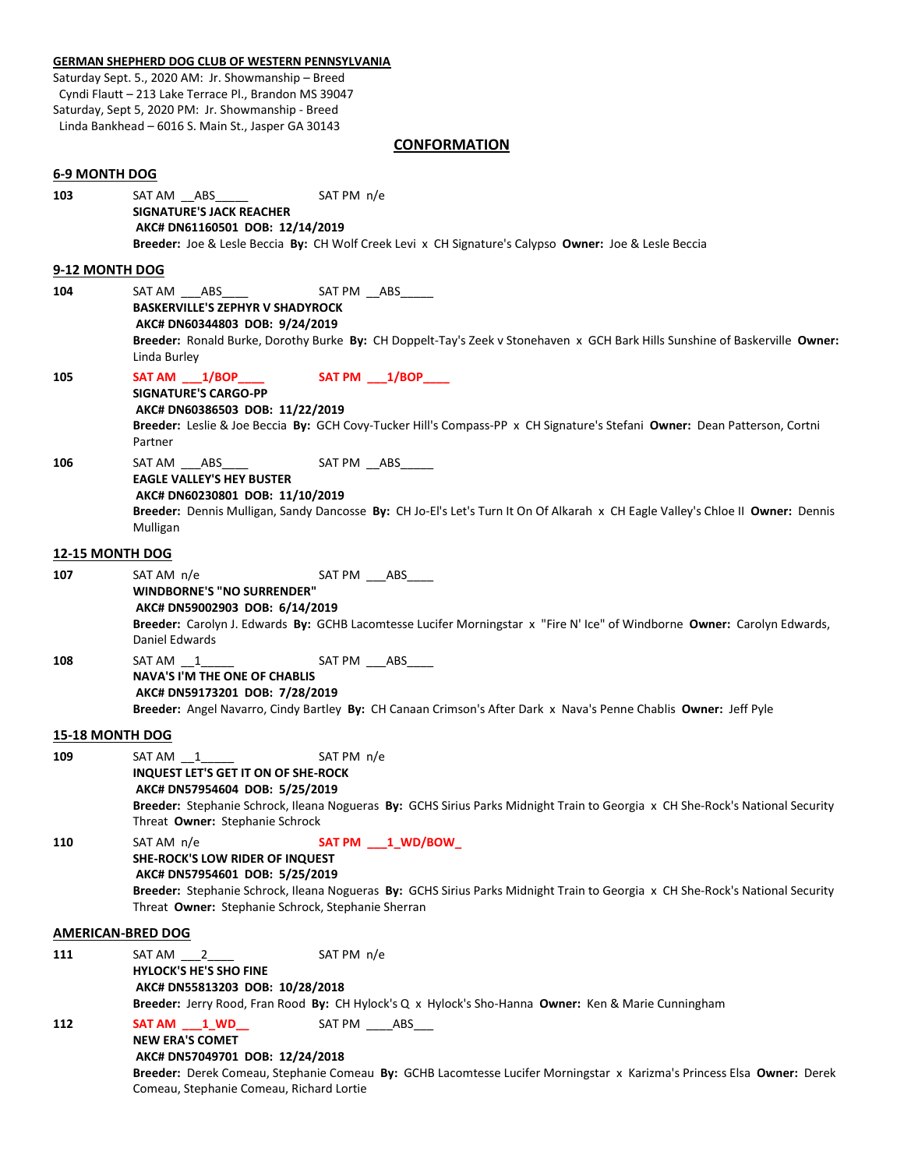#### **GERMAN SHEPHERD DOG CLUB OF WESTERN PENNSYLVANIA**

Saturday Sept. 5., 2020 AM: Jr. Showmanship – Breed Cyndi Flautt – 213 Lake Terrace Pl., Brandon MS 39047 Saturday, Sept 5, 2020 PM: Jr. Showmanship - Breed Linda Bankhead – 6016 S. Main St., Jasper GA 30143

# **CONFORMATION**

|                        | .                                                                                                                                                                                                                                                                                              |
|------------------------|------------------------------------------------------------------------------------------------------------------------------------------------------------------------------------------------------------------------------------------------------------------------------------------------|
| 6-9 MONTH DOG          |                                                                                                                                                                                                                                                                                                |
| 103                    | SAT AM ___ABS_______<br>SAT PM n/e<br><b>SIGNATURE'S JACK REACHER</b><br>AKC# DN61160501 DOB: 12/14/2019<br>Breeder: Joe & Lesle Beccia By: CH Wolf Creek Levi x CH Signature's Calypso Owner: Joe & Lesle Beccia                                                                              |
| 9-12 MONTH DOG         |                                                                                                                                                                                                                                                                                                |
| 104                    | SAT PM __ABS_____<br>SAT AM _____ABS______<br><b>BASKERVILLE'S ZEPHYR V SHADYROCK</b><br>AKC# DN60344803 DOB: 9/24/2019<br>Breeder: Ronald Burke, Dorothy Burke By: CH Doppelt-Tay's Zeek v Stonehaven x GCH Bark Hills Sunshine of Baskerville Owner:<br>Linda Burley                         |
| 105                    | $SAT AM _1/BDP$<br>SAT PM ___ 1/BOP____<br><b>SIGNATURE'S CARGO-PP</b><br>AKC# DN60386503 DOB: 11/22/2019<br>Breeder: Leslie & Joe Beccia By: GCH Covy-Tucker Hill's Compass-PP x CH Signature's Stefani Owner: Dean Patterson, Cortni<br>Partner                                              |
| 106                    | SAT AM ____ ABS _____<br>SAT PM __ ABS______<br><b>EAGLE VALLEY'S HEY BUSTER</b><br>AKC# DN60230801 DOB: 11/10/2019<br>Breeder: Dennis Mulligan, Sandy Dancosse By: CH Jo-El's Let's Turn It On Of Alkarah x CH Eagle Valley's Chloe II Owner: Dennis<br>Mulligan                              |
| <b>12-15 MONTH DOG</b> |                                                                                                                                                                                                                                                                                                |
| 107                    | SAT PM ___ ABS____<br>SAT AM n/e<br><b>WINDBORNE'S "NO SURRENDER"</b><br>AKC# DN59002903 DOB: 6/14/2019<br>Breeder: Carolyn J. Edwards By: GCHB Lacomtesse Lucifer Morningstar x "Fire N' Ice" of Windborne Owner: Carolyn Edwards,<br>Daniel Edwards                                          |
| 108                    | SAT AM 1<br>SAT PM ____ABS_<br><b>NAVA'S I'M THE ONE OF CHABLIS</b><br>AKC# DN59173201 DOB: 7/28/2019<br>Breeder: Angel Navarro, Cindy Bartley By: CH Canaan Crimson's After Dark x Nava's Penne Chablis Owner: Jeff Pyle                                                                      |
| 15-18 MONTH DOG        |                                                                                                                                                                                                                                                                                                |
| 109                    | $SAT AM$ $1$<br>SAT PM n/e<br><b>INQUEST LET'S GET IT ON OF SHE-ROCK</b><br>AKC# DN57954604 DOB: 5/25/2019<br>Breeder: Stephanie Schrock, Ileana Nogueras By: GCHS Sirius Parks Midnight Train to Georgia x CH She-Rock's National Security<br>Threat Owner: Stephanie Schrock                 |
| 110                    | SAT AM n/e<br>SAT PM ___ 1_WD/BOW_<br>SHE-ROCK'S LOW RIDER OF INQUEST<br>AKC# DN57954601 DOB: 5/25/2019<br>Breeder: Stephanie Schrock, Ileana Nogueras By: GCHS Sirius Parks Midnight Train to Georgia x CH She-Rock's National Security<br>Threat Owner: Stephanie Schrock, Stephanie Sherran |
|                        | <b>AMERICAN-BRED DOG</b>                                                                                                                                                                                                                                                                       |
| 111                    | SAT PM n/e<br>SAT AM 2<br><b>HYLOCK'S HE'S SHO FINE</b><br>AKC# DN55813203 DOB: 10/28/2018<br>Breeder: Jerry Rood, Fran Rood By: CH Hylock's Q x Hylock's Sho-Hanna Owner: Ken & Marie Cunningham                                                                                              |
| 112                    | SAT PM _____ ABS____<br>SAT AM 1 WD<br><b>NEW ERA'S COMET</b><br>AKC# DN57049701 DOB: 12/24/2018<br>Breeder: Derek Comeau, Stephanie Comeau By: GCHB Lacomtesse Lucifer Morningstar x Karizma's Princess Elsa Owner: Derek<br>Comeau, Stephanie Comeau, Richard Lortie                         |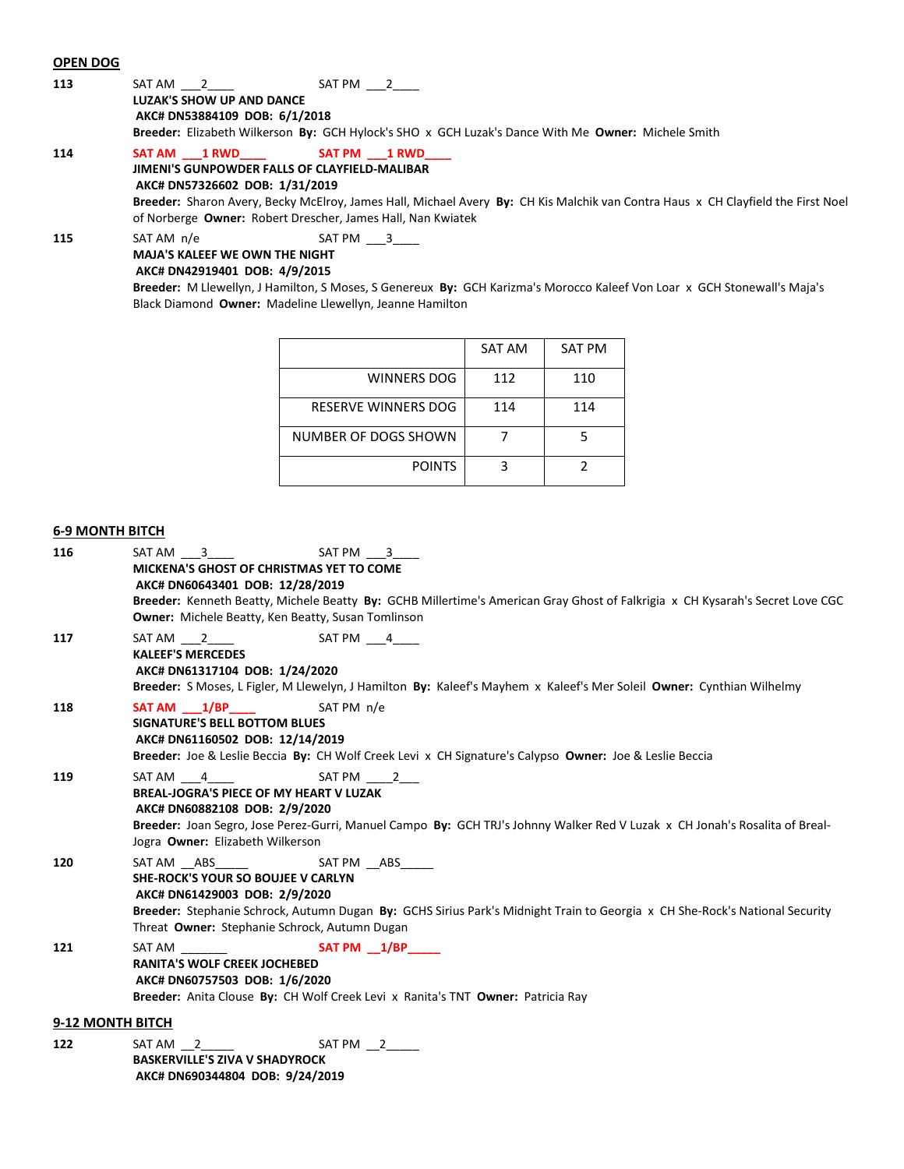#### **OPEN DOG**

| 113 | SAT AM 2                                                                                           | SAT PM  2    |  |
|-----|----------------------------------------------------------------------------------------------------|--------------|--|
|     | LUZAK'S SHOW UP AND DANCE                                                                          |              |  |
|     | AKC# DN53884109 DOB: 6/1/2018                                                                      |              |  |
|     | Breeder: Elizabeth Wilkerson By: GCH Hylock's SHO x GCH Luzak's Dance With Me Owner: Michele Smith |              |  |
| 114 | SAT AM 1 RWD                                                                                       | SAT PM 1 RWD |  |

**JIMENI'S GUNPOWDER FALLS OF CLAYFIELD-MALIBAR AKC# DN57326602 DOB: 1/31/2019**

**Breeder:** Sharon Avery, Becky McElroy, James Hall, Michael Avery **By:** CH Kis Malchik van Contra Haus x CH Clayfield the First Noel of Norberge **Owner:** Robert Drescher, James Hall, Nan Kwiatek

**115** SAT AM n/e SAT PM  $\frac{3}{2}$ **MAJA'S KALEEF WE OWN THE NIGHT**

### **AKC# DN42919401 DOB: 4/9/2015**

**Breeder:** M Llewellyn, J Hamilton, S Moses, S Genereux **By:** GCH Karizma's Morocco Kaleef Von Loar x GCH Stonewall's Maja's Black Diamond **Owner:** Madeline Llewellyn, Jeanne Hamilton

|                      | SAT AM | <b>SAT PM</b> |
|----------------------|--------|---------------|
| WINNERS DOG          | 112    | 110           |
| RESERVE WINNERS DOG  | 114    | 114           |
| NUMBER OF DOGS SHOWN |        |               |
| <b>POINTS</b>        |        |               |

## **6-9 MONTH BITCH**

| 116 | SAT PM 3<br>SAT AM 3<br>MICKENA'S GHOST OF CHRISTMAS YET TO COME<br>AKC# DN60643401 DOB: 12/28/2019<br>Breeder: Kenneth Beatty, Michele Beatty By: GCHB Millertime's American Gray Ghost of Falkrigia x CH Kysarah's Secret Love CGC<br><b>Owner:</b> Michele Beatty, Ken Beatty, Susan Tomlinson |
|-----|---------------------------------------------------------------------------------------------------------------------------------------------------------------------------------------------------------------------------------------------------------------------------------------------------|
| 117 | SAT AM 2 SAT PM 4<br><b>KALEEF'S MERCEDES</b><br>AKC# DN61317104 DOB: 1/24/2020<br>Breeder: S Moses, L Figler, M Llewelyn, J Hamilton By: Kaleef's Mayhem x Kaleef's Mer Soleil Owner: Cynthian Wilhelmy                                                                                          |
| 118 | SAT PM n/e<br>SAT AM 1/BP<br><b>SIGNATURE'S BELL BOTTOM BLUES</b><br>AKC# DN61160502 DOB: 12/14/2019<br>Breeder: Joe & Leslie Beccia By: CH Wolf Creek Levi x CH Signature's Calypso Owner: Joe & Leslie Beccia                                                                                   |
| 119 | SAT AM 4<br>SAT PM 2<br><b>BREAL-JOGRA'S PIECE OF MY HEART V LUZAK</b><br>AKC# DN60882108 DOB: 2/9/2020<br>Breeder: Joan Segro, Jose Perez-Gurri, Manuel Campo By: GCH TRJ's Johnny Walker Red V Luzak x CH Jonah's Rosalita of Breal-<br>Jogra Owner: Elizabeth Wilkerson                        |
| 120 | <b>SHE-ROCK'S YOUR SO BOUJEE V CARLYN</b><br>AKC# DN61429003 DOB: 2/9/2020<br>Breeder: Stephanie Schrock, Autumn Dugan By: GCHS Sirius Park's Midnight Train to Georgia x CH She-Rock's National Security<br>Threat Owner: Stephanie Schrock, Autumn Dugan                                        |
| 121 | SAT AM SAT PM 1/BP<br><b>RANITA'S WOLF CREEK JOCHEBED</b><br>AKC# DN60757503 DOB: 1/6/2020<br>Breeder: Anita Clouse By: CH Wolf Creek Levi x Ranita's TNT Owner: Patricia Ray                                                                                                                     |
|     | 9-12 MONTH BITCH                                                                                                                                                                                                                                                                                  |
| 122 | $SAT AM _2$<br>SAT PM 2<br><b>BASKERVILLE'S ZIVA V SHADYROCK</b>                                                                                                                                                                                                                                  |

**AKC# DN690344804 DOB: 9/24/2019**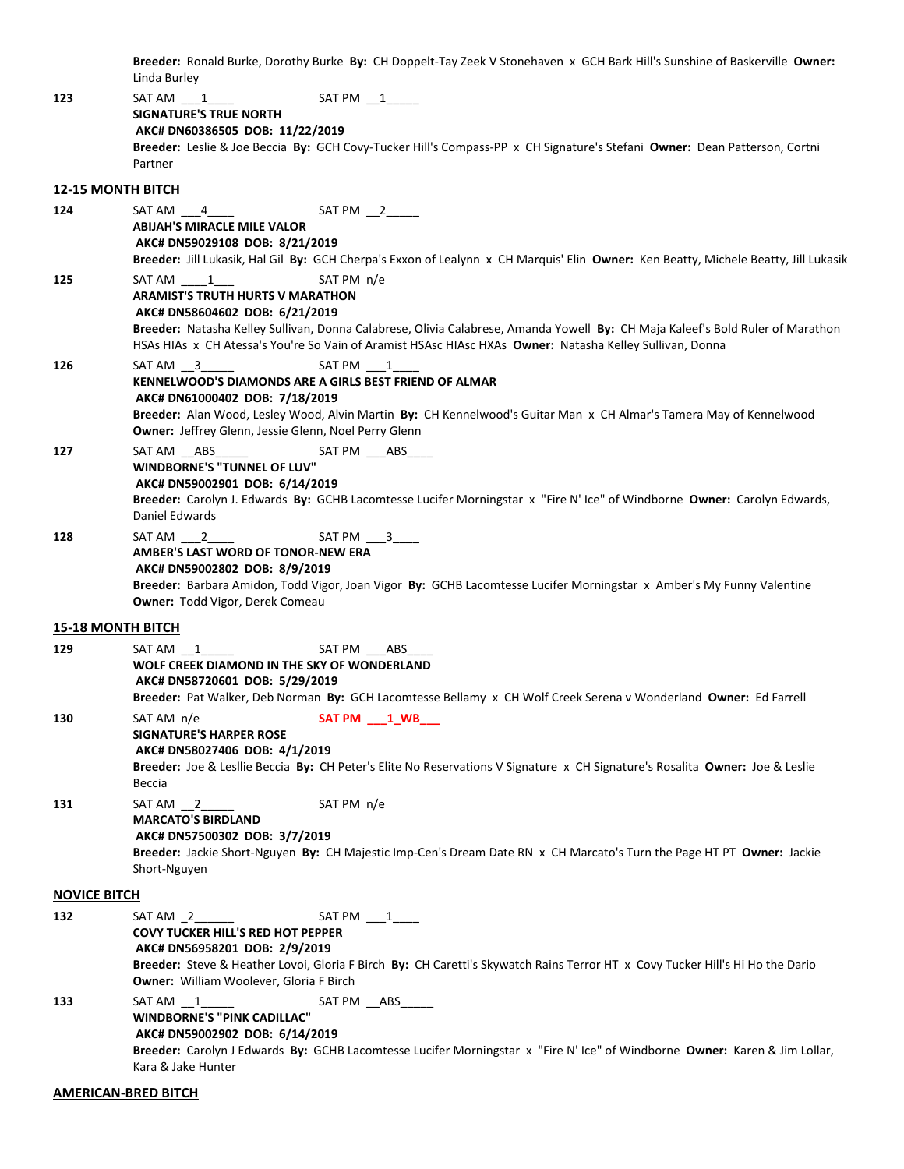**Breeder:** Ronald Burke, Dorothy Burke **By:** CH Doppelt-Tay Zeek V Stonehaven x GCH Bark Hill's Sunshine of Baskerville **Owner:** Linda Burley

| 123                      | SAT AM 1<br>$SAT PM$ $1$                                                                                                            |
|--------------------------|-------------------------------------------------------------------------------------------------------------------------------------|
|                          | <b>SIGNATURE'S TRUE NORTH</b>                                                                                                       |
|                          | AKC# DN60386505 DOB: 11/22/2019                                                                                                     |
|                          | Breeder: Leslie & Joe Beccia By: GCH Covy-Tucker Hill's Compass-PP x CH Signature's Stefani Owner: Dean Patterson, Cortni           |
|                          | Partner                                                                                                                             |
| <b>12-15 MONTH BITCH</b> |                                                                                                                                     |
| 124                      | $SAT PM$ $2$<br>SAT AM 4                                                                                                            |
|                          | <b>ABIJAH'S MIRACLE MILE VALOR</b>                                                                                                  |
|                          | AKC# DN59029108 DOB: 8/21/2019                                                                                                      |
|                          | Breeder: Jill Lukasik, Hal Gil By: GCH Cherpa's Exxon of Lealynn x CH Marquis' Elin Owner: Ken Beatty, Michele Beatty, Jill Lukasik |
| 125                      | SAT PM n/e<br>SAT AM 1                                                                                                              |
|                          | <b>ARAMIST'S TRUTH HURTS V MARATHON</b>                                                                                             |
|                          | AKC# DN58604602 DOB: 6/21/2019                                                                                                      |
|                          | Breeder: Natasha Kelley Sullivan, Donna Calabrese, Olivia Calabrese, Amanda Yowell By: CH Maja Kaleef's Bold Ruler of Marathon      |
|                          | HSAs HIAs x CH Atessa's You're So Vain of Aramist HSAsc HIAsc HXAs Owner: Natasha Kelley Sullivan, Donna                            |
| 126                      | SAT AM 3<br>SAT PM 1                                                                                                                |
|                          | KENNELWOOD'S DIAMONDS ARE A GIRLS BEST FRIEND OF ALMAR                                                                              |
|                          | AKC# DN61000402 DOB: 7/18/2019                                                                                                      |
|                          | Breeder: Alan Wood, Lesley Wood, Alvin Martin By: CH Kennelwood's Guitar Man x CH Almar's Tamera May of Kennelwood                  |
|                          | Owner: Jeffrey Glenn, Jessie Glenn, Noel Perry Glenn                                                                                |
| 127                      | SAT PM ___ ABS____<br>SAT AM __ABS__<br>WINDBORNE'S "TUNNEL OF LUV"                                                                 |
|                          | AKC# DN59002901 DOB: 6/14/2019                                                                                                      |
|                          | Breeder: Carolyn J. Edwards By: GCHB Lacomtesse Lucifer Morningstar x "Fire N' Ice" of Windborne Owner: Carolyn Edwards,            |
|                          | Daniel Edwards                                                                                                                      |
| 128                      | $SAT PM$ $3$<br>SAT AM 2                                                                                                            |
|                          | AMBER'S LAST WORD OF TONOR-NEW ERA                                                                                                  |
|                          | AKC# DN59002802 DOB: 8/9/2019                                                                                                       |
|                          | Breeder: Barbara Amidon, Todd Vigor, Joan Vigor By: GCHB Lacomtesse Lucifer Morningstar x Amber's My Funny Valentine                |
|                          | Owner: Todd Vigor, Derek Comeau                                                                                                     |
| <b>15-18 MONTH BITCH</b> |                                                                                                                                     |
| 129                      | SAT PM ____ ABS<br>SAT AM 1                                                                                                         |
|                          | WOLF CREEK DIAMOND IN THE SKY OF WONDERLAND                                                                                         |
|                          | AKC# DN58720601 DOB: 5/29/2019                                                                                                      |
|                          | Breeder: Pat Walker, Deb Norman By: GCH Lacomtesse Bellamy x CH Wolf Creek Serena v Wonderland Owner: Ed Farrell                    |
| 130                      | SAT AM n/e<br>SAT PM 1 WB                                                                                                           |
|                          | <b>SIGNATURE'S HARPER ROSE</b>                                                                                                      |
|                          | AKC# DN58027406 DOB: 4/1/2019                                                                                                       |
|                          | Breeder: Joe & Lesllie Beccia By: CH Peter's Elite No Reservations V Signature x CH Signature's Rosalita Owner: Joe & Leslie        |
|                          | Beccia                                                                                                                              |
| 131                      | SAT PM n/e<br>$SAT AM$ $2$                                                                                                          |
|                          | <b>MARCATO'S BIRDLAND</b>                                                                                                           |
|                          | AKC# DN57500302 DOB: 3/7/2019                                                                                                       |
|                          | Breeder: Jackie Short-Nguyen By: CH Majestic Imp-Cen's Dream Date RN x CH Marcato's Turn the Page HT PT Owner: Jackie               |
|                          | Short-Nguyen                                                                                                                        |
| <b>NOVICE BITCH</b>      |                                                                                                                                     |
| 132                      | SAT PM ___1____                                                                                                                     |
|                          | <b>COVY TUCKER HILL'S RED HOT PEPPER</b>                                                                                            |
|                          | AKC# DN56958201 DOB: 2/9/2019                                                                                                       |
|                          | Breeder: Steve & Heather Lovoi, Gloria F Birch By: CH Caretti's Skywatch Rains Terror HT x Covy Tucker Hill's Hi Ho the Dario       |
|                          | <b>Owner:</b> William Woolever, Gloria F Birch                                                                                      |
| 133                      | SAT AM 1<br>SAT PM __ABS_____                                                                                                       |
|                          | <b>WINDBORNE'S "PINK CADILLAC"</b>                                                                                                  |
|                          | AKC# DN59002902 DOB: 6/14/2019                                                                                                      |
|                          | Breeder: Carolyn J Edwards By: GCHB Lacomtesse Lucifer Morningstar x "Fire N' Ice" of Windborne Owner: Karen & Jim Lollar,          |
|                          | Kara & Jake Hunter                                                                                                                  |
|                          | <b>AMERICAN-BRED BITCH</b>                                                                                                          |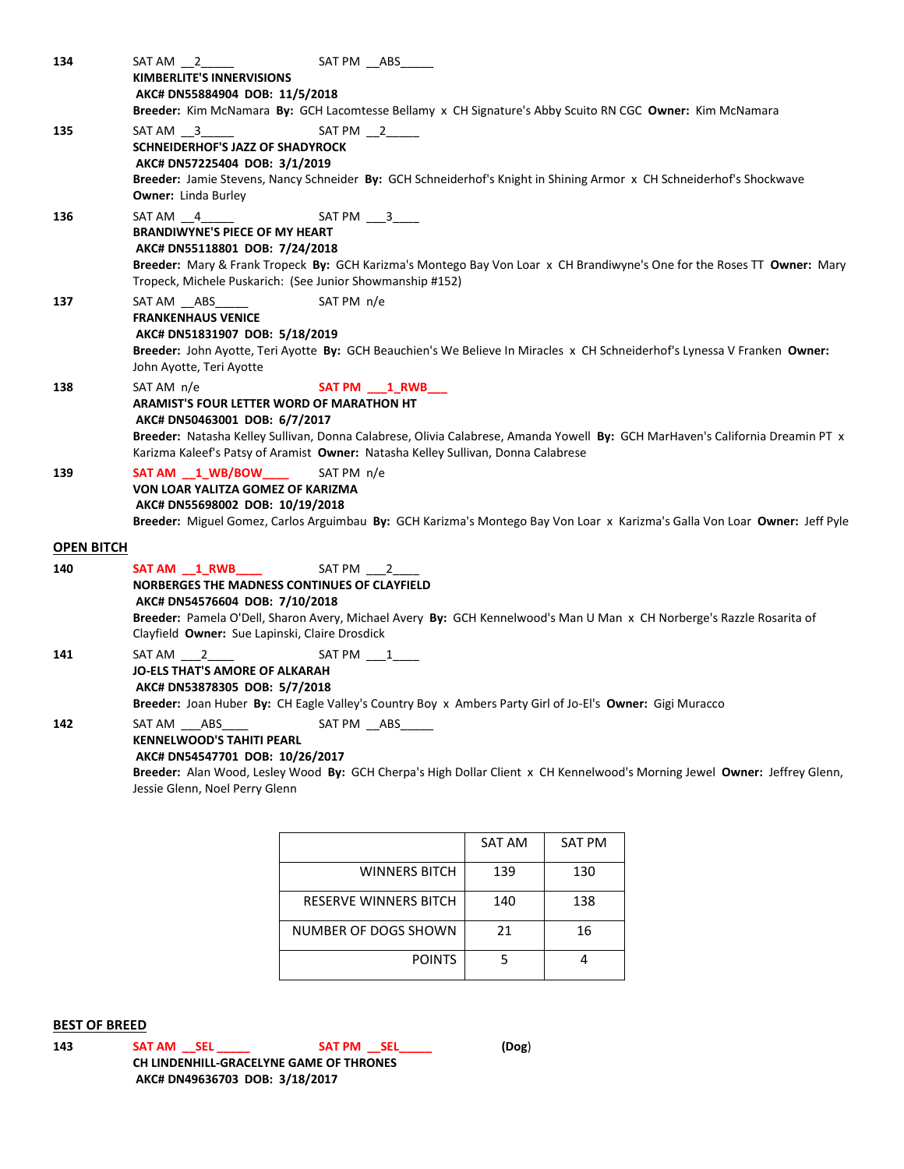| 134               | SAT PM __ ABS___<br>SAT AM 2<br><b>KIMBERLITE'S INNERVISIONS</b>                                                                                                                     |  |  |
|-------------------|--------------------------------------------------------------------------------------------------------------------------------------------------------------------------------------|--|--|
|                   | AKC# DN55884904 DOB: 11/5/2018                                                                                                                                                       |  |  |
|                   | Breeder: Kim McNamara By: GCH Lacomtesse Bellamy x CH Signature's Abby Scuito RN CGC Owner: Kim McNamara                                                                             |  |  |
| 135               | $SAT PM$ $_2$<br>SAT AM 3                                                                                                                                                            |  |  |
|                   | SCHNEIDERHOF'S JAZZ OF SHADYROCK                                                                                                                                                     |  |  |
|                   | AKC# DN57225404 DOB: 3/1/2019                                                                                                                                                        |  |  |
|                   | Breeder: Jamie Stevens, Nancy Schneider By: GCH Schneiderhof's Knight in Shining Armor x CH Schneiderhof's Shockwave                                                                 |  |  |
|                   | <b>Owner:</b> Linda Burley                                                                                                                                                           |  |  |
| 136               | $SAT AM _ 4$<br>$SAT PM$ ___3____                                                                                                                                                    |  |  |
|                   | <b>BRANDIWYNE'S PIECE OF MY HEART</b>                                                                                                                                                |  |  |
|                   | AKC# DN55118801 DOB: 7/24/2018                                                                                                                                                       |  |  |
|                   | Breeder: Mary & Frank Tropeck By: GCH Karizma's Montego Bay Von Loar x CH Brandiwyne's One for the Roses TT Owner: Mary<br>Tropeck, Michele Puskarich: (See Junior Showmanship #152) |  |  |
| 137               | SAT PM n/e<br>SAT AM ABS                                                                                                                                                             |  |  |
|                   | <b>FRANKENHAUS VENICE</b>                                                                                                                                                            |  |  |
|                   | AKC# DN51831907 DOB: 5/18/2019                                                                                                                                                       |  |  |
|                   | Breeder: John Ayotte, Teri Ayotte By: GCH Beauchien's We Believe In Miracles x CH Schneiderhof's Lynessa V Franken Owner:<br>John Ayotte, Teri Ayotte                                |  |  |
| 138               | SAT AM n/e<br>SAT PM 1 RWB                                                                                                                                                           |  |  |
|                   | <b>ARAMIST'S FOUR LETTER WORD OF MARATHON HT</b>                                                                                                                                     |  |  |
|                   | AKC# DN50463001 DOB: 6/7/2017                                                                                                                                                        |  |  |
|                   | Breeder: Natasha Kelley Sullivan, Donna Calabrese, Olivia Calabrese, Amanda Yowell By: GCH MarHaven's California Dreamin PT x                                                        |  |  |
|                   | Karizma Kaleef's Patsy of Aramist Owner: Natasha Kelley Sullivan, Donna Calabrese                                                                                                    |  |  |
| 139               | SAT AM 1 WB/BOW<br>SAT PM n/e                                                                                                                                                        |  |  |
|                   | VON LOAR YALITZA GOMEZ OF KARIZMA                                                                                                                                                    |  |  |
|                   | AKC# DN55698002 DOB: 10/19/2018                                                                                                                                                      |  |  |
|                   | Breeder: Miguel Gomez, Carlos Arguimbau By: GCH Karizma's Montego Bay Von Loar x Karizma's Galla Von Loar Owner: Jeff Pyle                                                           |  |  |
| <b>OPEN BITCH</b> |                                                                                                                                                                                      |  |  |
| 140               | SAT AM 1 RWB<br>SAT PM 2                                                                                                                                                             |  |  |
|                   | NORBERGES THE MADNESS CONTINUES OF CLAYFIELD                                                                                                                                         |  |  |
|                   | AKC# DN54576604 DOB: 7/10/2018                                                                                                                                                       |  |  |
|                   | Breeder: Pamela O'Dell, Sharon Avery, Michael Avery By: GCH Kennelwood's Man U Man x CH Norberge's Razzle Rosarita of                                                                |  |  |
|                   | Clayfield Owner: Sue Lapinski, Claire Drosdick                                                                                                                                       |  |  |
| 141               | SAT AM 2<br>SAT PM 1                                                                                                                                                                 |  |  |
|                   | JO-ELS THAT'S AMORE OF ALKARAH                                                                                                                                                       |  |  |
|                   | AKC# DN53878305 DOB: 5/7/2018                                                                                                                                                        |  |  |
|                   | Breeder: Joan Huber By: CH Eagle Valley's Country Boy x Ambers Party Girl of Jo-El's Owner: Gigi Muracco                                                                             |  |  |
| 142               | SAT PM __ ABS _____<br>SAT AM ABS                                                                                                                                                    |  |  |
|                   | <b>KENNELWOOD'S TAHITI PEARL</b>                                                                                                                                                     |  |  |
|                   | AKC# DN54547701 DOB: 10/26/2017                                                                                                                                                      |  |  |
|                   | Breeder: Alan Wood, Lesley Wood By: GCH Cherpa's High Dollar Client x CH Kennelwood's Morning Jewel Owner: Jeffrey Glenn,                                                            |  |  |
|                   | Jessie Glenn, Noel Perry Glenn                                                                                                                                                       |  |  |

SAT AM SAT PM WINNERS BITCH | 139 | 130 RESERVE WINNERS BITCH | 140 | 138 NUMBER OF DOGS SHOWN | 21 | 16 POINTS 5 4

# **BEST OF BREED**

**143 SAT AM \_\_SEL \_\_\_\_\_ SAT PM \_\_SEL\_\_\_\_\_ (Dog**) **CH LINDENHILL-GRACELYNE GAME OF THRONES AKC# DN49636703 DOB: 3/18/2017**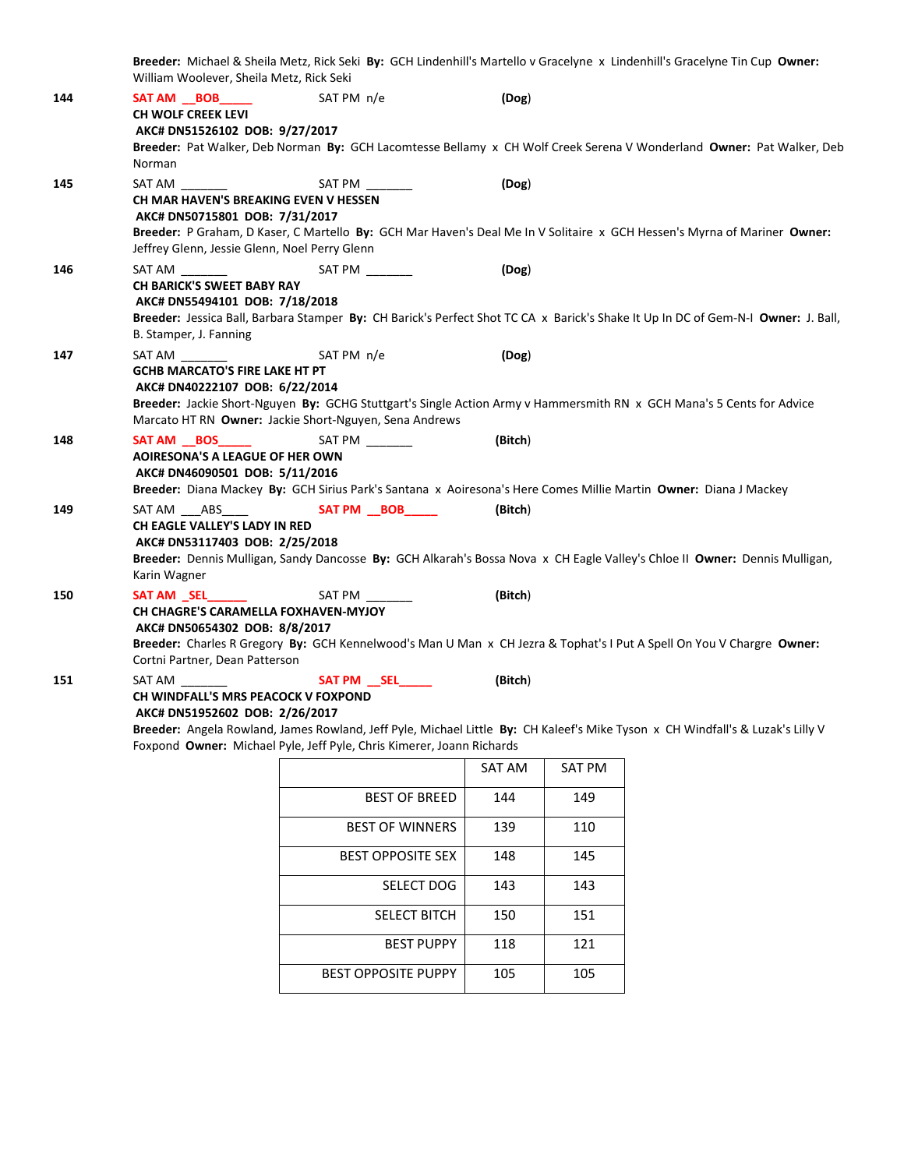**Breeder:** Michael & Sheila Metz, Rick Seki **By:** GCH Lindenhill's Martello v Gracelyne x Lindenhill's Gracelyne Tin Cup **Owner:** William Woolever, Sheila Metz, Rick Seki **144 SAT AM \_\_BOB\_\_\_\_\_** SAT PM n/e **(Dog**) **CH WOLF CREEK LEVI AKC# DN51526102 DOB: 9/27/2017 Breeder:** Pat Walker, Deb Norman **By:** GCH Lacomtesse Bellamy x CH Wolf Creek Serena V Wonderland **Owner:** Pat Walker, Deb Norman **145** SAT AM \_\_\_\_\_\_\_ SAT PM \_\_\_\_\_\_\_ **(Dog**) **CH MAR HAVEN'S BREAKING EVEN V HESSEN AKC# DN50715801 DOB: 7/31/2017 Breeder:** P Graham, D Kaser, C Martello **By:** GCH Mar Haven's Deal Me In V Solitaire x GCH Hessen's Myrna of Mariner **Owner:** Jeffrey Glenn, Jessie Glenn, Noel Perry Glenn **146** SAT AM \_\_\_\_\_\_\_ SAT PM \_\_\_\_\_\_\_ **(Dog**) **CH BARICK'S SWEET BABY RAY AKC# DN55494101 DOB: 7/18/2018 Breeder:** Jessica Ball, Barbara Stamper **By:** CH Barick's Perfect Shot TC CA x Barick's Shake It Up In DC of Gem-N-I **Owner:** J. Ball, B. Stamper, J. Fanning **147** SAT AM \_\_\_\_\_\_\_ SAT PM n/e **(Dog**) **GCHB MARCATO'S FIRE LAKE HT PT AKC# DN40222107 DOB: 6/22/2014 Breeder:** Jackie Short-Nguyen **By:** GCHG Stuttgart's Single Action Army v Hammersmith RN x GCH Mana's 5 Cents for Advice Marcato HT RN **Owner:** Jackie Short-Nguyen, Sena Andrews **148 SAT AM \_\_BOS\_\_\_\_\_** SAT PM \_\_\_\_\_\_\_ **(Bitch**) **AOIRESONA'S A LEAGUE OF HER OWN AKC# DN46090501 DOB: 5/11/2016 Breeder:** Diana Mackey **By:** GCH Sirius Park's Santana x Aoiresona's Here Comes Millie Martin **Owner:** Diana J Mackey **149** SAT AM \_\_\_ABS\_\_\_\_ **SAT PM \_\_BOB\_\_\_\_\_ (Bitch**) **CH EAGLE VALLEY'S LADY IN RED AKC# DN53117403 DOB: 2/25/2018 Breeder:** Dennis Mulligan, Sandy Dancosse **By:** GCH Alkarah's Bossa Nova x CH Eagle Valley's Chloe II **Owner:** Dennis Mulligan, Karin Wagner **150 SAT AM \_SEL\_\_\_\_\_\_** SAT PM \_\_\_\_\_\_\_ **(Bitch**) **CH CHAGRE'S CARAMELLA FOXHAVEN-MYJOY AKC# DN50654302 DOB: 8/8/2017 Breeder:** Charles R Gregory **By:** GCH Kennelwood's Man U Man x CH Jezra & Tophat's I Put A Spell On You V Chargre **Owner:** Cortni Partner, Dean Patterson **151** SAT AM \_\_\_\_\_\_\_ **SAT PM \_\_SEL\_\_\_\_\_ (Bitch**) **CH WINDFALL'S MRS PEACOCK V FOXPOND AKC# DN51952602 DOB: 2/26/2017 Breeder:** Angela Rowland, James Rowland, Jeff Pyle, Michael Little **By:** CH Kaleef's Mike Tyson x CH Windfall's & Luzak's Lilly V Foxpond **Owner:** Michael Pyle, Jeff Pyle, Chris Kimerer, Joann Richards

|                            | SAT AM | <b>SAT PM</b> |
|----------------------------|--------|---------------|
| <b>BEST OF BREED</b>       | 144    | 149           |
| <b>BEST OF WINNERS</b>     | 139    | 110           |
| <b>BEST OPPOSITE SEX</b>   | 148    | 145           |
| <b>SELECT DOG</b>          | 143    | 143           |
| <b>SELECT BITCH</b>        | 150    | 151           |
| <b>BEST PUPPY</b>          | 118    | 121           |
| <b>BEST OPPOSITE PUPPY</b> | 105    | 105           |